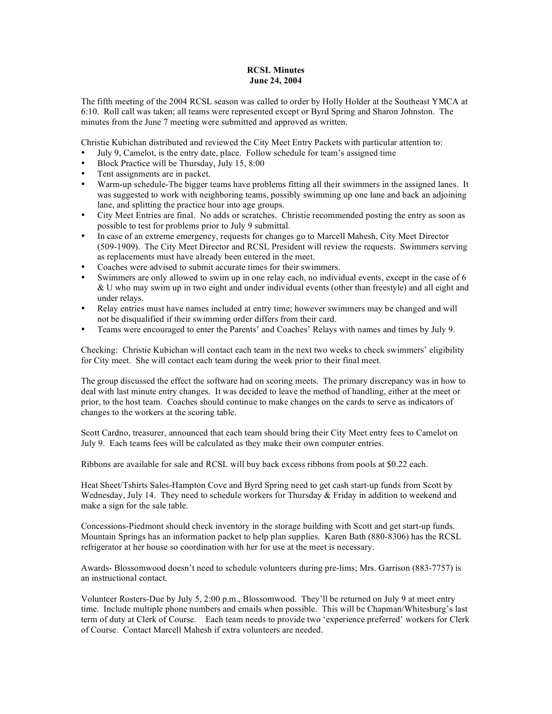## **RCSL Minutes June 24, 2004**

The fifth meeting of the 2004 RCSL season was called to order by Holly Holder at the Southeast YMCA at 6:10. Roll call was taken; all teams were represented except or Byrd Spring and Sharon Johnston. The minutes from the June 7 meeting were submitted and approved as written.

Christie Kubichan distributed and reviewed the City Meet Entry Packets with particular attention to:

- July 9, Camelot, is the entry date, place. Follow schedule for team's assigned time
- Block Practice will be Thursday, July 15, 8:00
- Tent assignments are in packet.
- Warm-up schedule-The bigger teams have problems fitting all their swimmers in the assigned lanes. It was suggested to work with neighboring teams, possibly swimming up one lane and back an adjoining lane, and splitting the practice hour into age groups.
- City Meet Entries are final. No adds or scratches. Christie recommended posting the entry as soon as possible to test for problems prior to July 9 submittal.
- In case of an extreme emergency, requests for changes go to Marcell Mahesh, City Meet Director (509-1909). The City Meet Director and RCSL President will review the requests. Swimmers serving as replacements must have already been entered in the meet.
- Coaches were advised to submit accurate times for their swimmers.
- Swimmers are only allowed to swim up in one relay each, no individual events, except in the case of 6 & U who may swim up in two eight and under individual events (other than freestyle) and all eight and under relays.
- Relay entries must have names included at entry time; however swimmers may be changed and will not be disqualified if their swimming order differs from their card.
- Teams were encouraged to enter the Parents' and Coaches' Relays with names and times by July 9.

Checking: Christie Kubichan will contact each team in the next two weeks to check swimmers' eligibility for City meet. She will contact each team during the week prior to their final meet.

The group discussed the effect the software had on scoring meets. The primary discrepancy was in how to deal with last minute entry changes. It was decided to leave the method of handling, either at the meet or prior, to the host team. Coaches should continue to make changes on the cards to serve as indicators of changes to the workers at the scoring table.

Scott Cardno, treasurer, announced that each team should bring their City Meet entry fees to Camelot on July 9. Each teams fees will be calculated as they make their own computer entries.

Ribbons are available for sale and RCSL will buy back excess ribbons from pools at \$0.22 each.

Heat Sheet/Tshirts Sales-Hampton Cove and Byrd Spring need to get cash start-up funds from Scott by Wednesday, July 14. They need to schedule workers for Thursday  $&$  Friday in addition to weekend and make a sign for the sale table.

Concessions-Piedmont should check inventory in the storage building with Scott and get start-up funds. Mountain Springs has an information packet to help plan supplies. Karen Bath (880-8306) has the RCSL refrigerator at her house so coordination with her for use at the meet is necessary.

Awards- Blossomwood doesn't need to schedule volunteers during pre-lims; Mrs. Garrison (883-7757) is an instructional contact.

Volunteer Rosters-Due by July 5, 2:00 p.m., Blossomwood. They'll be returned on July 9 at meet entry time. Include multiple phone numbers and emails when possible. This will be Chapman/Whitesburg's last term of duty at Clerk of Course. Each team needs to provide two 'experience preferred' workers for Clerk of Course. Contact Marcell Mahesh if extra volunteers are needed.